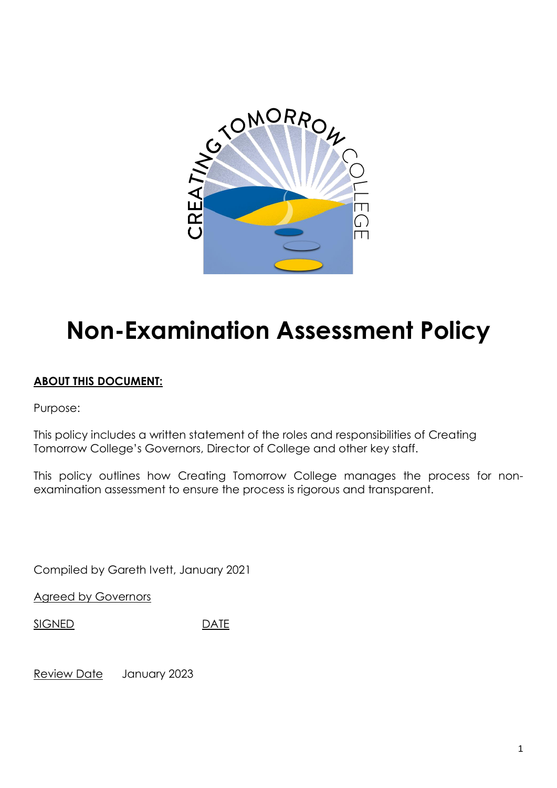

# **Non-Examination Assessment Policy**

# **ABOUT THIS DOCUMENT:**

Purpose:

This policy includes a written statement of the roles and responsibilities of Creating Tomorrow College's Governors, Director of College and other key staff.

This policy outlines how Creating Tomorrow College manages the process for nonexamination assessment to ensure the process is rigorous and transparent.

Compiled by Gareth Ivett, January 2021

**Agreed by Governors** 

SIGNED DATE

Review Date January 2023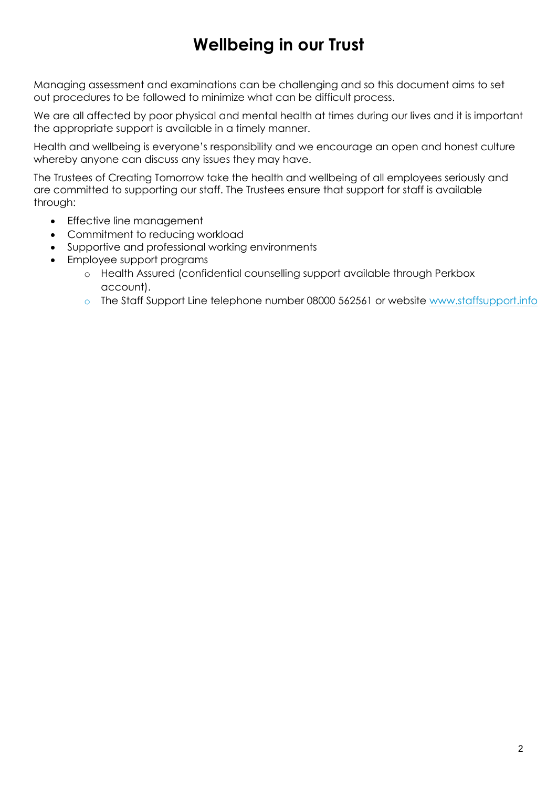# **Wellbeing in our Trust**

Managing assessment and examinations can be challenging and so this document aims to set out procedures to be followed to minimize what can be difficult process.

We are all affected by poor physical and mental health at times during our lives and it is important the appropriate support is available in a timely manner.

Health and wellbeing is everyone's responsibility and we encourage an open and honest culture whereby anyone can discuss any issues they may have.

The Trustees of Creating Tomorrow take the health and wellbeing of all employees seriously and are committed to supporting our staff. The Trustees ensure that support for staff is available through:

- Effective line management
- Commitment to reducing workload
- Supportive and professional working environments
- Employee support programs
	- o Health Assured (confidential counselling support available through Perkbox account).
	- o The Staff Support Line telephone number 08000 562561 or website [www.staffsupport.info](http://www.teachersupport.info/)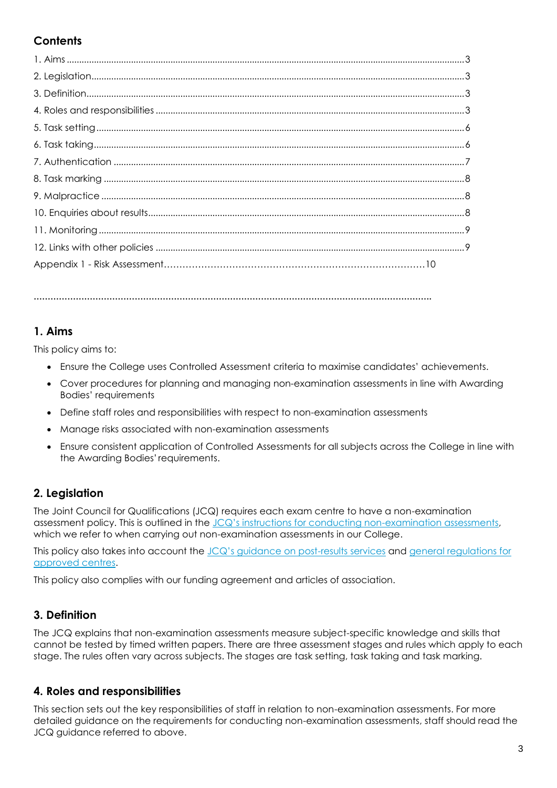# **Contents**

# **1. Aims**

This policy aims to:

- Ensure the College uses Controlled Assessment criteria to maximise candidates' achievements.
- Cover procedures for planning and managing non-examination assessments in line with Awarding Bodies' requirements
- Define staff roles and responsibilities with respect to non-examination assessments

**…………………………………………………………………………………………………………………………….**

- Manage risks associated with non-examination assessments
- Ensure consistent application of Controlled Assessments for all subjects across the College in line with the Awarding Bodies'requirements.

# **2. Legislation**

The Joint Council for Qualifications (JCQ) requires each exam centre to have a non-examination assessment policy. This is outlined in the [JCQ's instructions for conducting non](https://www.jcq.org.uk/exams-office/non-examination-assessments/instructions-for-conducting-non-examination-assessments)-examination assessments, which we refer to when carrying out non-examination assessments in our College.

This policy also takes into account the [JCQ's guidance on post](http://www.jcq.org.uk/exams-office/post-results-services)-results services and general regulations for [approved centres.](https://www.jcq.org.uk/exams-office/general-regulations)

This policy also complies with our funding agreement and articles of association.

# **3. Definition**

The JCQ explains that non-examination assessments measure subject-specific knowledge and skills that cannot be tested by timed written papers. There are three assessment stages and rules which apply to each stage. The rules often vary across subjects. The stages are task setting, task taking and task marking.

## **4. Roles and responsibilities**

This section sets out the key responsibilities of staff in relation to non-examination assessments. For more detailed guidance on the requirements for conducting non-examination assessments, staff should read the JCQ guidance referred to above.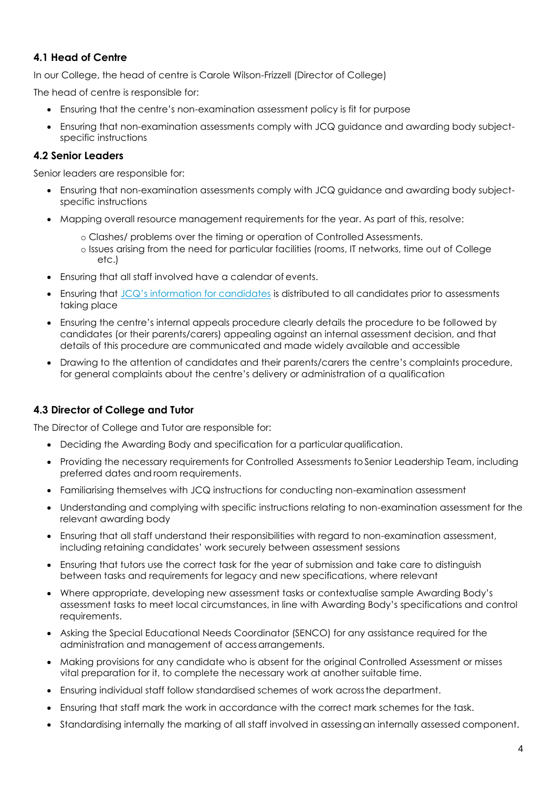#### **4.1 Head of Centre**

In our College, the head of centre is Carole Wilson-Frizzell (Director of College)

The head of centre is responsible for:

- Ensuring that the centre's non-examination assessment policy is fit for purpose
- Ensuring that non-examination assessments comply with JCQ guidance and awarding body subjectspecific instructions

#### **4.2 Senior Leaders**

Senior leaders are responsible for:

- Ensuring that non-examination assessments comply with JCQ guidance and awarding body subjectspecific instructions
- Mapping overall resource management requirements for the year. As part of this, resolve:
	- o Clashes/ problems over the timing or operation of Controlled Assessments.
	- o Issues arising from the need for particular facilities (rooms, IT networks, time out of College etc.)
- Ensuring that all staff involved have a calendar of events.
- Ensuring that [JCQ's information for candidates](https://www.jcq.org.uk/exams-office/information-for-candidates-documents/instructions-for-candidates---non-examination-assessments) is distributed to all candidates prior to assessments taking place
- Ensuring the centre's internal appeals procedure clearly details the procedure to be followed by candidates (or their parents/carers) appealing against an internal assessment decision, and that details of this procedure are communicated and made widely available and accessible
- Drawing to the attention of candidates and their parents/carers the centre's complaints procedure, for general complaints about the centre's delivery or administration of a qualification

#### **4.3 Director of College and Tutor**

The Director of College and Tutor are responsible for:

- Deciding the Awarding Body and specification for a particular qualification.
- Providing the necessary requirements for Controlled Assessments to Senior Leadership Team, including preferred dates and room requirements.
- Familiarising themselves with JCQ instructions for conducting non-examination assessment
- Understanding and complying with specific instructions relating to non-examination assessment for the relevant awarding body
- Ensuring that all staff understand their responsibilities with regard to non-examination assessment, including retaining candidates' work securely between assessment sessions
- Ensuring that tutors use the correct task for the year of submission and take care to distinguish between tasks and requirements for legacy and new specifications, where relevant
- Where appropriate, developing new assessment tasks or contextualise sample Awarding Body's assessment tasks to meet local circumstances, in line with Awarding Body's specifications and control requirements.
- Asking the Special Educational Needs Coordinator (SENCO) for any assistance required for the administration and management of accessarrangements.
- Making provisions for any candidate who is absent for the original Controlled Assessment or misses vital preparation for it, to complete the necessary work at another suitable time.
- Ensuring individual staff follow standardised schemes of work acrossthe department.
- Ensuring that staff mark the work in accordance with the correct mark schemes for the task.
- Standardising internally the marking of all staff involved in assessingan internally assessed component.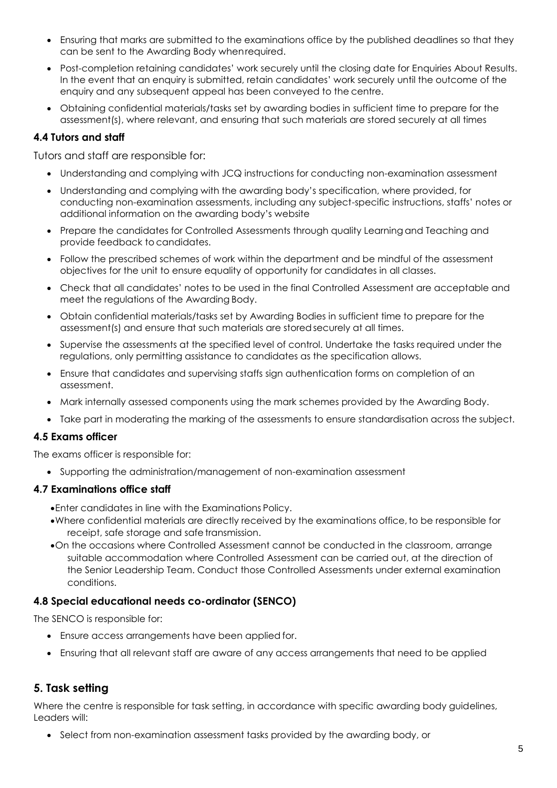- Ensuring that marks are submitted to the examinations office by the published deadlines so that they can be sent to the Awarding Body whenrequired.
- Post-completion retaining candidates' work securely until the closing date for Enquiries About Results. In the event that an enquiry is submitted, retain candidates' work securely until the outcome of the enquiry and any subsequent appeal has been conveyed to the centre.
- Obtaining confidential materials/tasks set by awarding bodies in sufficient time to prepare for the assessment(s), where relevant, and ensuring that such materials are stored securely at all times

#### **4.4 Tutors and staff**

Tutors and staff are responsible for:

- Understanding and complying with JCQ instructions for conducting non-examination assessment
- Understanding and complying with the awarding body's specification, where provided, for conducting non-examination assessments, including any subject-specific instructions, staffs' notes or additional information on the awarding body's website
- Prepare the candidates for Controlled Assessments through quality Learningand Teaching and provide feedback to candidates.
- Follow the prescribed schemes of work within the department and be mindful of the assessment objectives for the unit to ensure equality of opportunity for candidates in all classes.
- Check that all candidates' notes to be used in the final Controlled Assessment are acceptable and meet the regulations of the Awarding Body.
- Obtain confidential materials/tasks set by Awarding Bodies in sufficient time to prepare for the assessment(s) and ensure that such materials are storedsecurely at all times.
- Supervise the assessments at the specified level of control. Undertake the tasks required under the regulations, only permitting assistance to candidates as the specification allows.
- Ensure that candidates and supervising staffs sign authentication forms on completion of an assessment.
- Mark internally assessed components using the mark schemes provided by the Awarding Body.
- Take part in moderating the marking of the assessments to ensure standardisation across the subject.

#### **4.5 Exams officer**

The exams officer is responsible for:

Supporting the administration/management of non-examination assessment

#### **4.7 Examinations office staff**

Enter candidates in line with the Examinations Policy.

- . Where confidential materials are directly received by the examinations office, to be responsible for receipt, safe storage and safe transmission.
- On the occasions where Controlled Assessment cannot be conducted in the classroom, arrange suitable accommodation where Controlled Assessment can be carried out, at the direction of the Senior Leadership Team. Conduct those Controlled Assessments under external examination conditions.

#### **4.8 Special educational needs co-ordinator (SENCO)**

The SENCO is responsible for:

- Ensure access arrangements have been applied for.
- Ensuring that all relevant staff are aware of any access arrangements that need to be applied

#### **5. Task setting**

Where the centre is responsible for task setting, in accordance with specific awarding body guidelines, Leaders will:

• Select from non-examination assessment tasks provided by the awarding body, or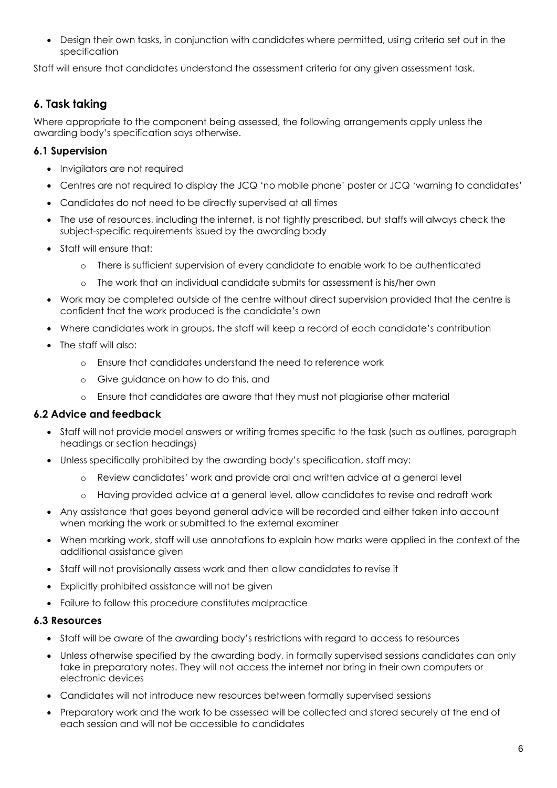Design their own tasks, in conjunction with candidates where permitted, using criteria set out in the specification

Staff will ensure that candidates understand the assessment criteria for any given assessment task.

# **6. Task taking**

Where appropriate to the component being assessed, the following arrangements apply unless the awarding body's specification says otherwise.

#### **6.1 Supervision**

- Invigilators are not required
- Centres are not required to display the JCQ 'no mobile phone' poster or JCQ 'warning to candidates'
- Candidates do not need to be directly supervised at all times
- The use of resources, including the internet, is not tightly prescribed, but staffs will always check the subject-specific requirements issued by the awarding body
- Staff will ensure that:
	- o There is sufficient supervision of every candidate to enable work to be authenticated
	- o The work that an individual candidate submits for assessment is his/her own
- Work may be completed outside of the centre without direct supervision provided that the centre is confident that the work produced is the candidate's own
- Where candidates work in groups, the staff will keep a record of each candidate's contribution
- The staff will also:
	- o Ensure that candidates understand the need to reference work
	- o Give guidance on how to do this, and
	- o Ensure that candidates are aware that they must not plagiarise other material

#### **6.2 Advice and feedback**

- Staff will not provide model answers or writing frames specific to the task (such as outlines, paragraph headings or section headings)
- Unless specifically prohibited by the awarding body's specification, staff may:
	- o Review candidates' work and provide oral and written advice at a general level
	- o Having provided advice at a general level, allow candidates to revise and redraft work
- Any assistance that goes beyond general advice will be recorded and either taken into account when marking the work or submitted to the external examiner
- When marking work, staff will use annotations to explain how marks were applied in the context of the additional assistance given
- Staff will not provisionally assess work and then allow candidates to revise it
- Explicitly prohibited assistance will not be given
- Failure to follow this procedure constitutes malpractice

#### **6.3 Resources**

- Staff will be aware of the awarding body's restrictions with regard to access to resources
- Unless otherwise specified by the awarding body, in formally supervised sessions candidates can only take in preparatory notes. They will not access the internet nor bring in their own computers or electronic devices
- Candidates will not introduce new resources between formally supervised sessions
- Preparatory work and the work to be assessed will be collected and stored securely at the end of each session and will not be accessible to candidates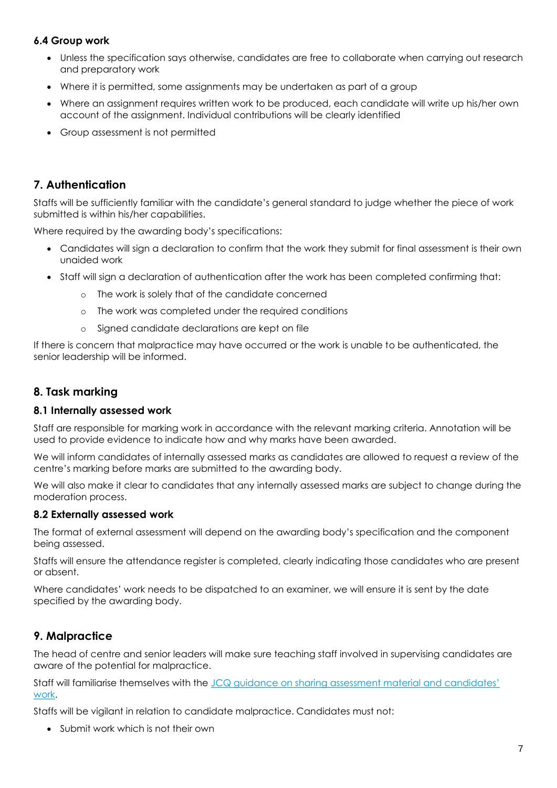#### **6.4 Group work**

- Unless the specification says otherwise, candidates are free to collaborate when carrying out research and preparatory work
- Where it is permitted, some assignments may be undertaken as part of a group
- Where an assignment requires written work to be produced, each candidate will write up his/her own account of the assignment. Individual contributions will be clearly identified
- Group assessment is not permitted

#### **7. Authentication**

Staffs will be sufficiently familiar with the candidate's general standard to judge whether the piece of work submitted is within his/her capabilities.

Where required by the awarding body's specifications:

- Candidates will sign a declaration to confirm that the work they submit for final assessment is their own unaided work
- Staff will sign a declaration of authentication after the work has been completed confirming that:
	- o The work is solely that of the candidate concerned
	- o The work was completed under the required conditions
	- o Signed candidate declarations are kept on file

If there is concern that malpractice may have occurred or the work is unable to be authenticated, the senior leadership will be informed.

#### **8. Task marking**

#### **8.1 Internally assessed work**

Staff are responsible for marking work in accordance with the relevant marking criteria. Annotation will be used to provide evidence to indicate how and why marks have been awarded.

We will inform candidates of internally assessed marks as candidates are allowed to request a review of the centre's marking before marks are submitted to the awarding body.

We will also make it clear to candidates that any internally assessed marks are subject to change during the moderation process.

#### **8.2 Externally assessed work**

The format of external assessment will depend on the awarding body's specification and the component being assessed.

Staffs will ensure the attendance register is completed, clearly indicating those candidates who are present or absent.

Where candidates' work needs to be dispatched to an examiner, we will ensure it is sent by the date specified by the awarding body.

## **9. Malpractice**

The head of centre and senior leaders will make sure teaching staff involved in supervising candidates are aware of the potential for malpractice.

Staff will familiarise themselves with the [JCQ guidance on sharing assessment material and candidates'](https://www.jcq.org.uk/exams-office/non-examination-assessments/notice-to-centres---sharing-nea-material-and-candidates-work)  [work.](https://www.jcq.org.uk/exams-office/non-examination-assessments/notice-to-centres---sharing-nea-material-and-candidates-work)

Staffs will be vigilant in relation to candidate malpractice. Candidates must not:

Submit work which is not their own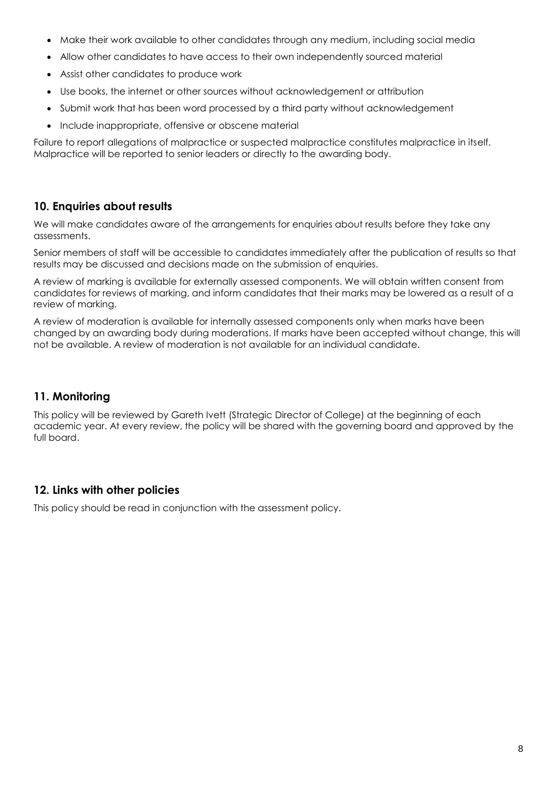- Make their work available to other candidates through any medium, including social media
- Allow other candidates to have access to their own independently sourced material
- Assist other candidates to produce work
- Use books, the internet or other sources without acknowledgement or attribution
- Submit work that has been word processed by a third party without acknowledgement
- Include inappropriate, offensive or obscene material

Failure to report allegations of malpractice or suspected malpractice constitutes malpractice in itself. Malpractice will be reported to senior leaders or directly to the awarding body.

#### **10. Enquiries about results**

We will make candidates aware of the arrangements for enquiries about results before they take any assessments.

Senior members of staff will be accessible to candidates immediately after the publication of results so that results may be discussed and decisions made on the submission of enquiries.

A review of marking is available for externally assessed components. We will obtain written consent from candidates for reviews of marking, and inform candidates that their marks may be lowered as a result of a review of marking.

A review of moderation is available for internally assessed components only when marks have been changed by an awarding body during moderations. If marks have been accepted without change, this will not be available. A review of moderation is not available for an individual candidate.

## **11. Monitoring**

This policy will be reviewed by Gareth Ivett (Strategic Director of College) at the beginning of each academic year. At every review, the policy will be shared with the governing board and approved by the full board.

## **12. Links with other policies**

This policy should be read in conjunction with the assessment policy.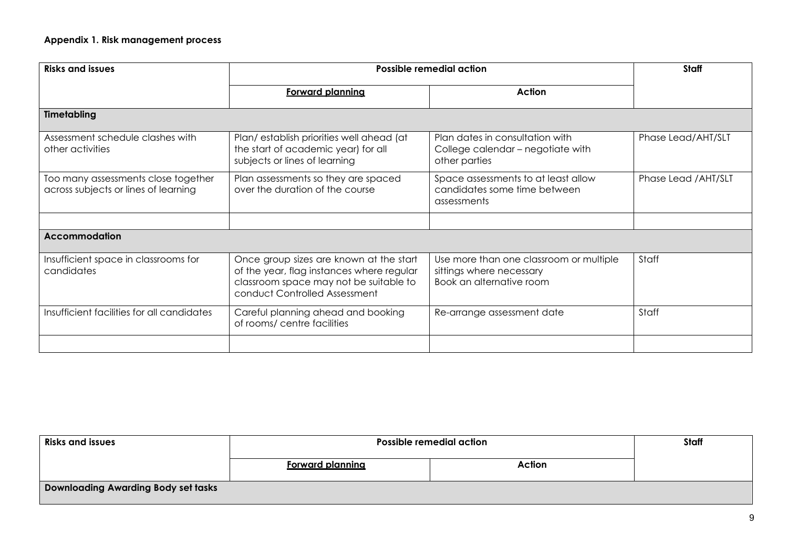| <b>Risks and issues</b>                                                     | Possible remedial action                                                                                                                                        |                                                                                                 | Staff                |
|-----------------------------------------------------------------------------|-----------------------------------------------------------------------------------------------------------------------------------------------------------------|-------------------------------------------------------------------------------------------------|----------------------|
|                                                                             | Forward planning                                                                                                                                                | Action                                                                                          |                      |
| Timetabling                                                                 |                                                                                                                                                                 |                                                                                                 |                      |
| Assessment schedule clashes with<br>other activities                        | Plan/establish priorities well ahead (at<br>the start of academic year) for all<br>subjects or lines of learning                                                | Plan dates in consultation with<br>College calendar - negotiate with<br>other parties           | Phase Lead/AHT/SLT   |
| Too many assessments close together<br>across subjects or lines of learning | Plan assessments so they are spaced<br>over the duration of the course                                                                                          | Space assessments to at least allow<br>candidates some time between<br>assessments              | Phase Lead / AHT/SLT |
|                                                                             |                                                                                                                                                                 |                                                                                                 |                      |
| <b>Accommodation</b>                                                        |                                                                                                                                                                 |                                                                                                 |                      |
| Insufficient space in classrooms for<br>candidates                          | Once group sizes are known at the start<br>of the year, flag instances where regular<br>classroom space may not be suitable to<br>conduct Controlled Assessment | Use more than one classroom or multiple<br>sittings where necessary<br>Book an alternative room | Staff                |
| Insufficient facilities for all candidates                                  | Careful planning ahead and booking<br>of rooms/ centre facilities                                                                                               | Re-arrange assessment date                                                                      | Staff                |
|                                                                             |                                                                                                                                                                 |                                                                                                 |                      |

| <b>Risks and issues</b>                    | <b>Possible remedial action</b> | Staff  |  |
|--------------------------------------------|---------------------------------|--------|--|
|                                            | <b>Forward planning</b>         | Action |  |
| <b>Downloading Awarding Body set tasks</b> |                                 |        |  |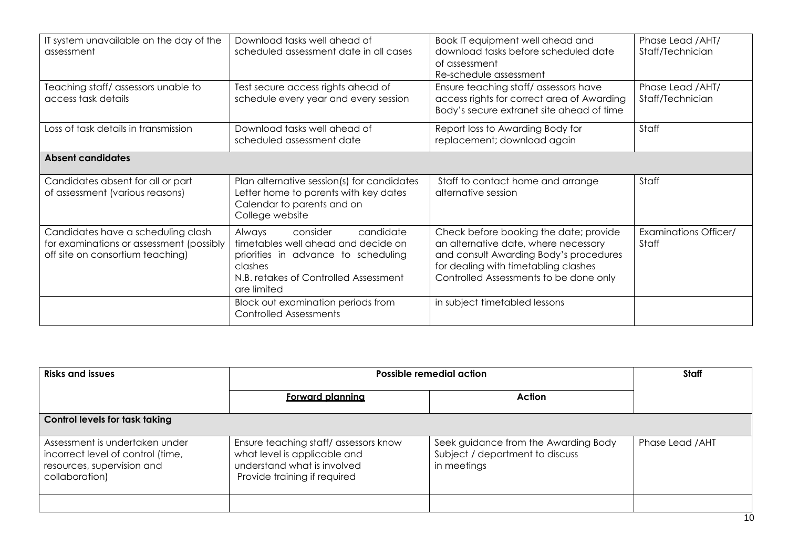| IT system unavailable on the day of the<br>assessment                                                              | Download tasks well ahead of<br>scheduled assessment date in all cases                                                                                                           | Book IT equipment well ahead and<br>download tasks before scheduled date<br>of assessment<br>Re-schedule assessment                                                                                        | Phase Lead / AHT/<br>Staff/Technician |
|--------------------------------------------------------------------------------------------------------------------|----------------------------------------------------------------------------------------------------------------------------------------------------------------------------------|------------------------------------------------------------------------------------------------------------------------------------------------------------------------------------------------------------|---------------------------------------|
| Teaching staff/assessors unable to<br>access task details                                                          | Test secure access rights ahead of<br>schedule every year and every session                                                                                                      | Ensure teaching staff/assessors have<br>access rights for correct area of Awarding<br>Body's secure extranet site ahead of time                                                                            | Phase Lead / AHT/<br>Staff/Technician |
| Loss of task details in transmission                                                                               | Download tasks well ahead of<br>scheduled assessment date                                                                                                                        | Report loss to Awarding Body for<br>replacement; download again                                                                                                                                            | Staff                                 |
| <b>Absent candidates</b>                                                                                           |                                                                                                                                                                                  |                                                                                                                                                                                                            |                                       |
| Candidates absent for all or part<br>of assessment (various reasons)                                               | Plan alternative session(s) for candidates<br>Letter home to parents with key dates<br>Calendar to parents and on<br>College website                                             | Staff to contact home and arrange<br>alternative session                                                                                                                                                   | Staff                                 |
| Candidates have a scheduling clash<br>for examinations or assessment (possibly<br>off site on consortium teaching) | consider<br>candidate<br>Always<br>timetables well ahead and decide on<br>priorities in advance to scheduling<br>clashes<br>N.B. retakes of Controlled Assessment<br>are limited | Check before booking the date; provide<br>an alternative date, where necessary<br>and consult Awarding Body's procedures<br>for dealing with timetabling clashes<br>Controlled Assessments to be done only | <b>Examinations Officer/</b><br>Staff |
|                                                                                                                    | Block out examination periods from<br><b>Controlled Assessments</b>                                                                                                              | in subject timetabled lessons                                                                                                                                                                              |                                       |

| <b>Risks and issues</b>                                                                                             | <b>Possible remedial action</b>                                                                                                     |                                                                                        | Staff            |
|---------------------------------------------------------------------------------------------------------------------|-------------------------------------------------------------------------------------------------------------------------------------|----------------------------------------------------------------------------------------|------------------|
|                                                                                                                     | <b>Forward planning</b>                                                                                                             | Action                                                                                 |                  |
| <b>Control levels for task taking</b>                                                                               |                                                                                                                                     |                                                                                        |                  |
| Assessment is undertaken under<br>incorrect level of control (time,<br>resources, supervision and<br>collaboration) | Ensure teaching staff/assessors know<br>what level is applicable and<br>understand what is involved<br>Provide training if required | Seek guidance from the Awarding Body<br>Subject / department to discuss<br>in meetings | Phase Lead / AHT |
|                                                                                                                     |                                                                                                                                     |                                                                                        |                  |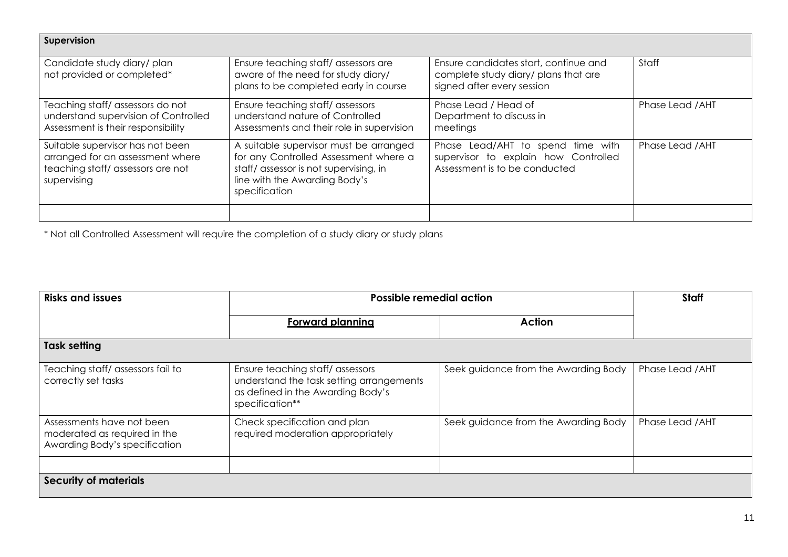| Supervision                                                                                                             |                                                                                                                                                                             |                                                                                                             |                  |
|-------------------------------------------------------------------------------------------------------------------------|-----------------------------------------------------------------------------------------------------------------------------------------------------------------------------|-------------------------------------------------------------------------------------------------------------|------------------|
| Candidate study diary/plan<br>not provided or completed*                                                                | Ensure teaching staff/assessors are<br>aware of the need for study diary/<br>plans to be completed early in course                                                          | Ensure candidates start, continue and<br>complete study diary/ plans that are<br>signed after every session | Staff            |
| Teaching staff/assessors do not<br>understand supervision of Controlled<br>Assessment is their responsibility           | Ensure teaching staff/assessors<br>understand nature of Controlled<br>Assessments and their role in supervision                                                             | Phase Lead / Head of<br>Department to discuss in<br>meetings                                                | Phase Lead / AHT |
| Suitable supervisor has not been<br>arranged for an assessment where<br>teaching staff/assessors are not<br>supervising | A suitable supervisor must be arranged<br>for any Controlled Assessment where a<br>staff/ assessor is not supervising, in<br>line with the Awarding Body's<br>specification | Phase Lead/AHT to spend time with<br>supervisor to explain how Controlled<br>Assessment is to be conducted  | Phase Lead / AHT |
|                                                                                                                         |                                                                                                                                                                             |                                                                                                             |                  |

\* Not all Controlled Assessment will require the completion of a study diary or study plans

| <b>Risks and issues</b>                                                                    | <b>Possible remedial action</b>                                                                                                     |                                      | <b>Staff</b>     |
|--------------------------------------------------------------------------------------------|-------------------------------------------------------------------------------------------------------------------------------------|--------------------------------------|------------------|
|                                                                                            | <b>Forward planning</b>                                                                                                             | <b>Action</b>                        |                  |
| <b>Task setting</b>                                                                        |                                                                                                                                     |                                      |                  |
| Teaching staff/ assessors fail to<br>correctly set tasks                                   | Ensure teaching staff/assessors<br>understand the task setting arrangements<br>as defined in the Awarding Body's<br>specification** | Seek guidance from the Awarding Body | Phase Lead / AHT |
| Assessments have not been<br>moderated as required in the<br>Awarding Body's specification | Check specification and plan<br>required moderation appropriately                                                                   | Seek guidance from the Awarding Body | Phase Lead / AHT |
| <b>Security of materials</b>                                                               |                                                                                                                                     |                                      |                  |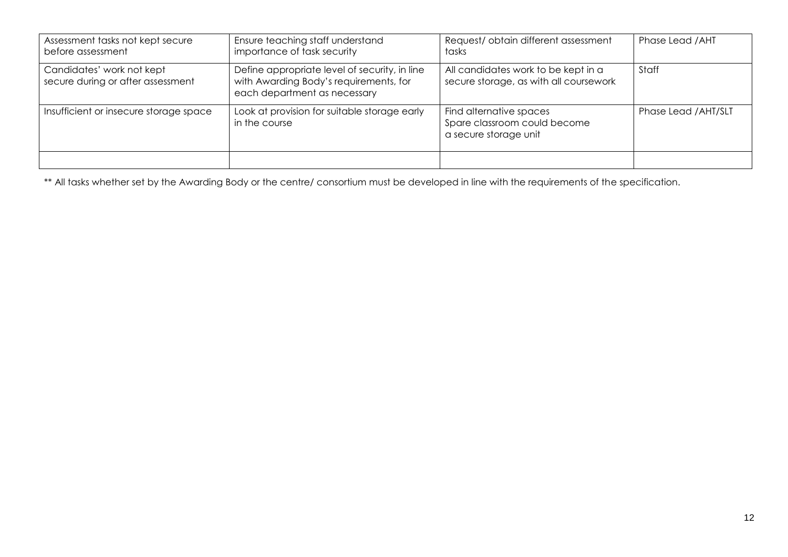| Assessment tasks not kept secure<br>before assessment          | Ensure teaching staff understand<br>importance of task security                                                         | Request/obtain different assessment<br>tasks                                     | Phase Lead / AHT     |
|----------------------------------------------------------------|-------------------------------------------------------------------------------------------------------------------------|----------------------------------------------------------------------------------|----------------------|
| Candidates' work not kept<br>secure during or after assessment | Define appropriate level of security, in line<br>with Awarding Body's requirements, for<br>each department as necessary | All candidates work to be kept in a<br>secure storage, as with all coursework    | Staff                |
| Insufficient or insecure storage space                         | Look at provision for suitable storage early<br>in the course                                                           | Find alternative spaces<br>Spare classroom could become<br>a secure storage unit | Phase Lead / AHT/SLT |
|                                                                |                                                                                                                         |                                                                                  |                      |

\*\* All tasks whether set by the Awarding Body or the centre/ consortium must be developed in line with the requirements of the specification.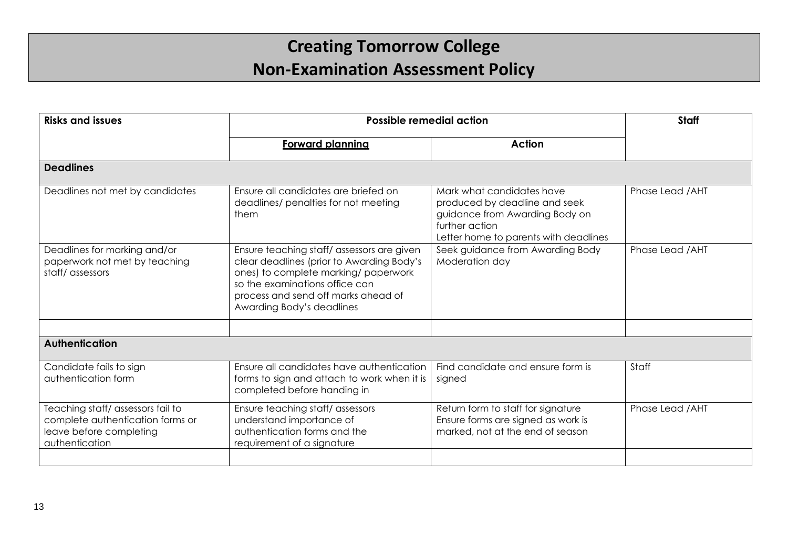# **Creating Tomorrow College Non-Examination Assessment Policy**

| <b>Risks and issues</b>                                                                                           | <b>Possible remedial action</b>                                                                                                                                                                                                      |                                                                                                                                                         | <b>Staff</b>     |
|-------------------------------------------------------------------------------------------------------------------|--------------------------------------------------------------------------------------------------------------------------------------------------------------------------------------------------------------------------------------|---------------------------------------------------------------------------------------------------------------------------------------------------------|------------------|
|                                                                                                                   | <b>Forward planning</b>                                                                                                                                                                                                              | <b>Action</b>                                                                                                                                           |                  |
| <b>Deadlines</b>                                                                                                  |                                                                                                                                                                                                                                      |                                                                                                                                                         |                  |
| Deadlines not met by candidates                                                                                   | Ensure all candidates are briefed on<br>deadlines/ penalties for not meeting<br>them                                                                                                                                                 | Mark what candidates have<br>produced by deadline and seek<br>guidance from Awarding Body on<br>further action<br>Letter home to parents with deadlines | Phase Lead / AHT |
| Deadlines for marking and/or<br>paperwork not met by teaching<br>staff/assessors                                  | Ensure teaching staff/assessors are given<br>clear deadlines (prior to Awarding Body's<br>ones) to complete marking/ paperwork<br>so the examinations office can<br>process and send off marks ahead of<br>Awarding Body's deadlines | Seek guidance from Awarding Body<br>Moderation day                                                                                                      | Phase Lead / AHT |
|                                                                                                                   |                                                                                                                                                                                                                                      |                                                                                                                                                         |                  |
| <b>Authentication</b>                                                                                             |                                                                                                                                                                                                                                      |                                                                                                                                                         |                  |
| Candidate fails to sign<br>authentication form                                                                    | Ensure all candidates have authentication<br>forms to sign and attach to work when it is<br>completed before handing in                                                                                                              | Find candidate and ensure form is<br>signed                                                                                                             | Staff            |
| Teaching staff/assessors fail to<br>complete authentication forms or<br>leave before completing<br>authentication | Ensure teaching staff/assessors<br>understand importance of<br>authentication forms and the<br>requirement of a signature                                                                                                            | Return form to staff for signature<br>Ensure forms are signed as work is<br>marked, not at the end of season                                            | Phase Lead / AHT |
|                                                                                                                   |                                                                                                                                                                                                                                      |                                                                                                                                                         |                  |